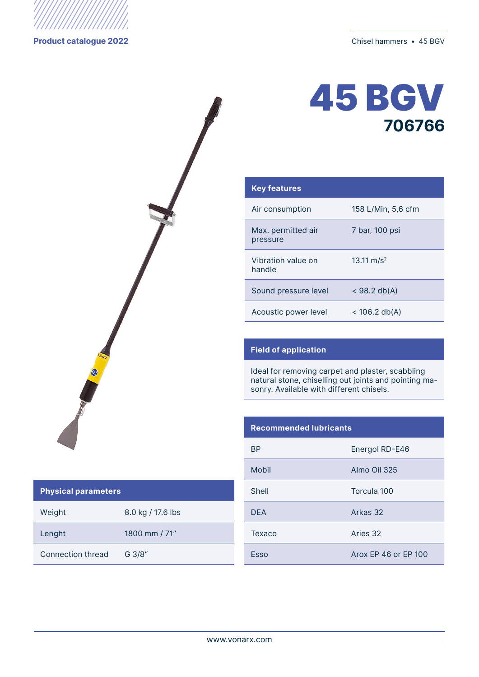



| <b>Key features</b>            |                        |
|--------------------------------|------------------------|
| Air consumption                | 158 L/Min, 5,6 cfm     |
| Max. permitted air<br>pressure | 7 bar, 100 psi         |
| Vibration value on<br>handle   | 13.11 m/s <sup>2</sup> |
| Sound pressure level           | $<$ 98.2 db(A)         |
| Acoustic power level           | $<$ 106.2 db(A)        |

## **Field of application**

Ideal for removing carpet and plaster, scabbling natural stone, chiselling out joints and pointing masonry. Available with different chisels.

## **Recommended lubricants**

| ВP         | Energol RD-E46       |
|------------|----------------------|
| Mobil      | Almo Oil 325         |
| Shell      | Torcula 100          |
| <b>DEA</b> | Arkas 32             |
| Texaco     | Aries 32             |
| Esso       | Arox FP 46 or FP 100 |

## **Physical parameters**

Weight 8.0 kg / 17.6 lbs Lenght 1800 mm / 71"

Connection thread G 3/8"